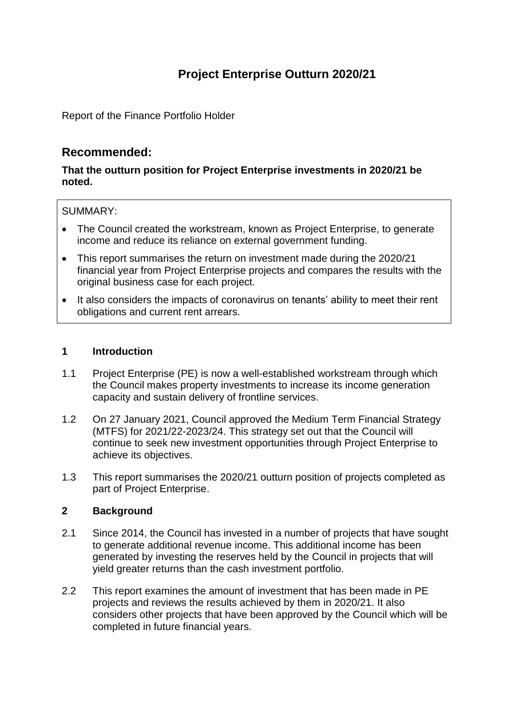# **Project Enterprise Outturn 2020/21**

Report of the Finance Portfolio Holder

# **Recommended:**

#### **That the outturn position for Project Enterprise investments in 2020/21 be noted.**

### SUMMARY:

- The Council created the workstream, known as Project Enterprise, to generate income and reduce its reliance on external government funding.
- This report summarises the return on investment made during the 2020/21 financial year from Project Enterprise projects and compares the results with the original business case for each project.
- It also considers the impacts of coronavirus on tenants' ability to meet their rent obligations and current rent arrears.

#### **1 Introduction**

- 1.1 Project Enterprise (PE) is now a well-established workstream through which the Council makes property investments to increase its income generation capacity and sustain delivery of frontline services.
- 1.2 On 27 January 2021, Council approved the Medium Term Financial Strategy (MTFS) for 2021/22-2023/24. This strategy set out that the Council will continue to seek new investment opportunities through Project Enterprise to achieve its objectives.
- 1.3 This report summarises the 2020/21 outturn position of projects completed as part of Project Enterprise.

#### **2 Background**

- 2.1 Since 2014, the Council has invested in a number of projects that have sought to generate additional revenue income. This additional income has been generated by investing the reserves held by the Council in projects that will yield greater returns than the cash investment portfolio.
- 2.2 This report examines the amount of investment that has been made in PE projects and reviews the results achieved by them in 2020/21. It also considers other projects that have been approved by the Council which will be completed in future financial years.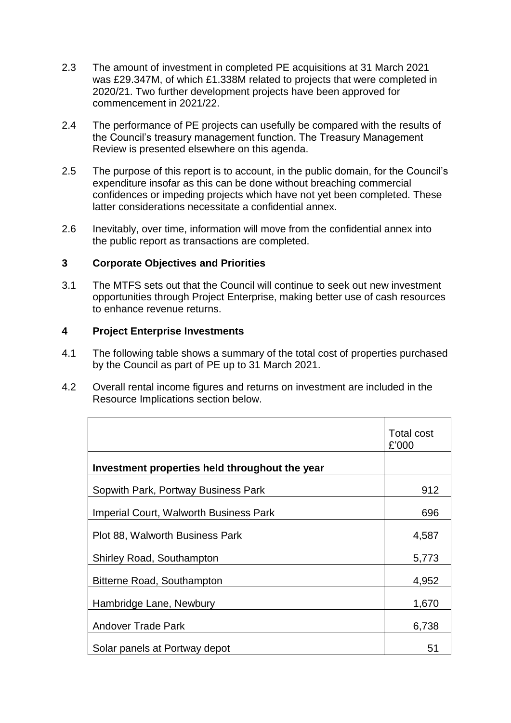- 2.3 The amount of investment in completed PE acquisitions at 31 March 2021 was £29.347M, of which £1.338M related to projects that were completed in 2020/21. Two further development projects have been approved for commencement in 2021/22.
- 2.4 The performance of PE projects can usefully be compared with the results of the Council's treasury management function. The Treasury Management Review is presented elsewhere on this agenda.
- 2.5 The purpose of this report is to account, in the public domain, for the Council's expenditure insofar as this can be done without breaching commercial confidences or impeding projects which have not yet been completed. These latter considerations necessitate a confidential annex.
- 2.6 Inevitably, over time, information will move from the confidential annex into the public report as transactions are completed.

#### **3 Corporate Objectives and Priorities**

3.1 The MTFS sets out that the Council will continue to seek out new investment opportunities through Project Enterprise, making better use of cash resources to enhance revenue returns.

#### **4 Project Enterprise Investments**

- 4.1 The following table shows a summary of the total cost of properties purchased by the Council as part of PE up to 31 March 2021.
- 4.2 Overall rental income figures and returns on investment are included in the Resource Implications section below.

|                                                | <b>Total cost</b><br>£'000 |
|------------------------------------------------|----------------------------|
| Investment properties held throughout the year |                            |
| Sopwith Park, Portway Business Park            | 912                        |
| <b>Imperial Court, Walworth Business Park</b>  | 696                        |
| Plot 88, Walworth Business Park                | 4,587                      |
| <b>Shirley Road, Southampton</b>               | 5,773                      |
| Bitterne Road, Southampton                     | 4,952                      |
| Hambridge Lane, Newbury                        | 1,670                      |
| <b>Andover Trade Park</b>                      | 6,738                      |
| Solar panels at Portway depot                  | 51                         |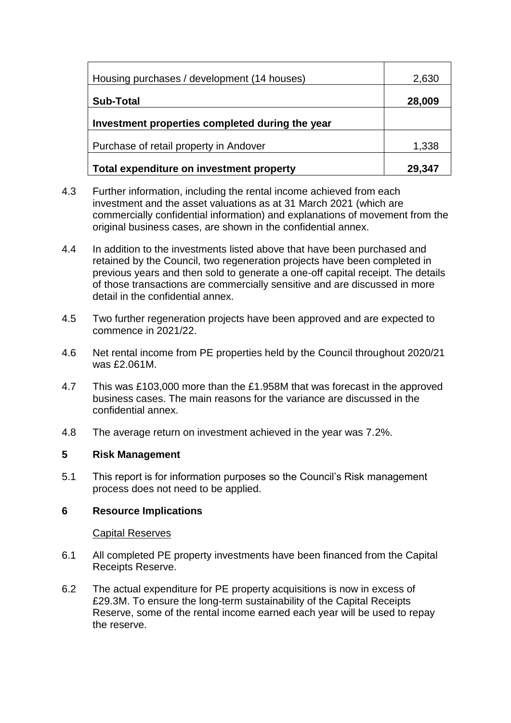| Housing purchases / development (14 houses)     | 2,630  |
|-------------------------------------------------|--------|
| <b>Sub-Total</b>                                | 28,009 |
| Investment properties completed during the year |        |
| Purchase of retail property in Andover          | 1,338  |
| Total expenditure on investment property        | 29,347 |

- 4.3 Further information, including the rental income achieved from each investment and the asset valuations as at 31 March 2021 (which are commercially confidential information) and explanations of movement from the original business cases, are shown in the confidential annex.
- 4.4 In addition to the investments listed above that have been purchased and retained by the Council, two regeneration projects have been completed in previous years and then sold to generate a one-off capital receipt. The details of those transactions are commercially sensitive and are discussed in more detail in the confidential annex.
- 4.5 Two further regeneration projects have been approved and are expected to commence in 2021/22.
- 4.6 Net rental income from PE properties held by the Council throughout 2020/21 was £2.061M.
- 4.7 This was £103,000 more than the £1.958M that was forecast in the approved business cases. The main reasons for the variance are discussed in the confidential annex.
- 4.8 The average return on investment achieved in the year was 7.2%.

#### **5 Risk Management**

5.1 This report is for information purposes so the Council's Risk management process does not need to be applied.

#### **6 Resource Implications**

#### Capital Reserves

- 6.1 All completed PE property investments have been financed from the Capital Receipts Reserve.
- 6.2 The actual expenditure for PE property acquisitions is now in excess of £29.3M. To ensure the long-term sustainability of the Capital Receipts Reserve, some of the rental income earned each year will be used to repay the reserve.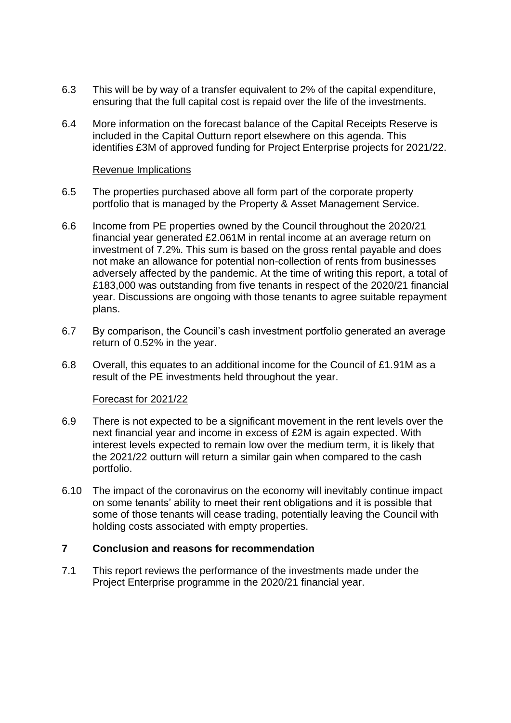- 6.3 This will be by way of a transfer equivalent to 2% of the capital expenditure, ensuring that the full capital cost is repaid over the life of the investments.
- 6.4 More information on the forecast balance of the Capital Receipts Reserve is included in the Capital Outturn report elsewhere on this agenda. This identifies £3M of approved funding for Project Enterprise projects for 2021/22.

#### Revenue Implications

- 6.5 The properties purchased above all form part of the corporate property portfolio that is managed by the Property & Asset Management Service.
- 6.6 Income from PE properties owned by the Council throughout the 2020/21 financial year generated £2.061M in rental income at an average return on investment of 7.2%. This sum is based on the gross rental payable and does not make an allowance for potential non-collection of rents from businesses adversely affected by the pandemic. At the time of writing this report, a total of £183,000 was outstanding from five tenants in respect of the 2020/21 financial year. Discussions are ongoing with those tenants to agree suitable repayment plans.
- 6.7 By comparison, the Council's cash investment portfolio generated an average return of 0.52% in the year.
- 6.8 Overall, this equates to an additional income for the Council of £1.91M as a result of the PE investments held throughout the year.

#### Forecast for 2021/22

- 6.9 There is not expected to be a significant movement in the rent levels over the next financial year and income in excess of £2M is again expected. With interest levels expected to remain low over the medium term, it is likely that the 2021/22 outturn will return a similar gain when compared to the cash portfolio.
- 6.10 The impact of the coronavirus on the economy will inevitably continue impact on some tenants' ability to meet their rent obligations and it is possible that some of those tenants will cease trading, potentially leaving the Council with holding costs associated with empty properties.

#### **7 Conclusion and reasons for recommendation**

7.1 This report reviews the performance of the investments made under the Project Enterprise programme in the 2020/21 financial year.